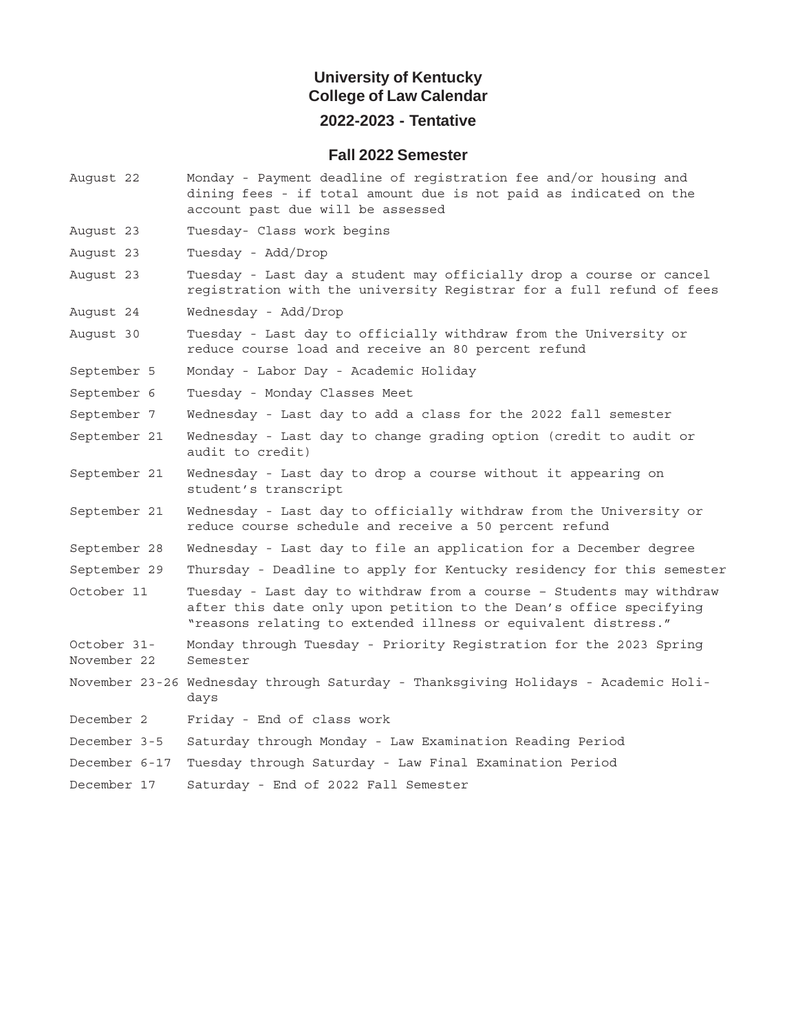## **University of Kentucky College of Law Calendar 2022-2023 - Tentative**

#### **Fall 2022 Semester**

- August 22 Monday Payment deadline of registration fee and/or housing and dining fees - if total amount due is not paid as indicated on the account past due will be assessed
- August 23 Tuesday- Class work begins
- August 23 Tuesday Add/Drop
- August 23 Tuesday Last day a student may officially drop a course or cancel registration with the university Registrar for a full refund of fees
- August 24 Wednesday Add/Drop
- August 30 Tuesday Last day to officially withdraw from the University or reduce course load and receive an 80 percent refund
- September 5 Monday Labor Day Academic Holiday
- September 6 Tuesday Monday Classes Meet
- September 7 Wednesday Last day to add a class for the 2022 fall semester
- September 21 Wednesday Last day to change grading option (credit to audit or audit to credit)
- September 21 Wednesday Last day to drop a course without it appearing on student's transcript
- September 21 Wednesday Last day to officially withdraw from the University or reduce course schedule and receive a 50 percent refund
- September 28 Wednesday Last day to file an application for a December degree
- September 29 Thursday Deadline to apply for Kentucky residency for this semester
- October 11 Tuesday Last day to withdraw from a course Students may withdraw after this date only upon petition to the Dean's office specifying "reasons relating to extended illness or equivalent distress."
- October 31- Monday through Tuesday Priority Registration for the 2023 Spring November 22 Semester
- November 23-26 Wednesday through Saturday Thanksgiving Holidays Academic Holidays
- December 2 Friday End of class work
- December 3-5 Saturday through Monday Law Examination Reading Period
- December 6-17 Tuesday through Saturday Law Final Examination Period
- December 17 Saturday End of 2022 Fall Semester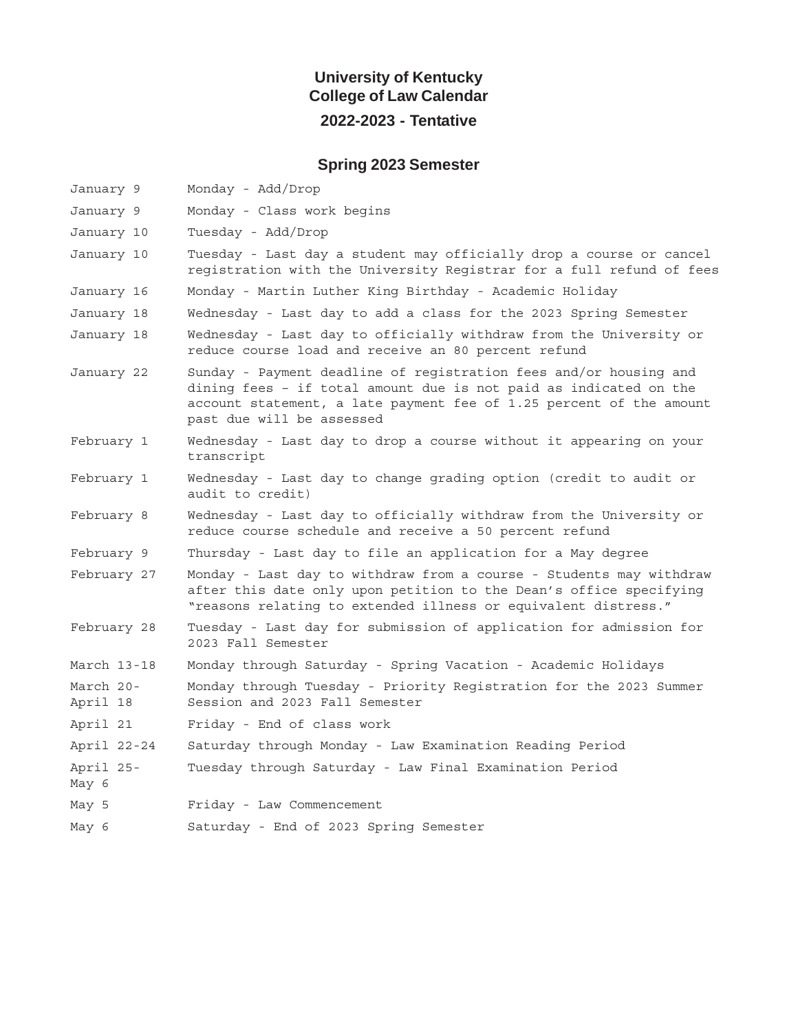## **University of Kentucky College of Law Calendar 2022-2023 - Tentative**

# **Spring 2023 Semester**

| January 9             | Monday - Add/Drop                                                                                                                                                                                                                          |
|-----------------------|--------------------------------------------------------------------------------------------------------------------------------------------------------------------------------------------------------------------------------------------|
| January 9             | Monday - Class work begins                                                                                                                                                                                                                 |
| January 10            | Tuesday - Add/Drop                                                                                                                                                                                                                         |
| January 10            | Tuesday - Last day a student may officially drop a course or cancel<br>registration with the University Registrar for a full refund of fees                                                                                                |
| January 16            | Monday - Martin Luther King Birthday - Academic Holiday                                                                                                                                                                                    |
| January 18            | Wednesday - Last day to add a class for the 2023 Spring Semester                                                                                                                                                                           |
| January 18            | Wednesday - Last day to officially withdraw from the University or<br>reduce course load and receive an 80 percent refund                                                                                                                  |
| January 22            | Sunday - Payment deadline of registration fees and/or housing and<br>dining fees - if total amount due is not paid as indicated on the<br>account statement, a late payment fee of 1.25 percent of the amount<br>past due will be assessed |
| February 1            | Wednesday - Last day to drop a course without it appearing on your<br>transcript                                                                                                                                                           |
| February 1            | Wednesday - Last day to change grading option (credit to audit or<br>audit to credit)                                                                                                                                                      |
| February 8            | Wednesday - Last day to officially withdraw from the University or<br>reduce course schedule and receive a 50 percent refund                                                                                                               |
| February 9            | Thursday - Last day to file an application for a May degree                                                                                                                                                                                |
| February 27           | Monday - Last day to withdraw from a course - Students may withdraw<br>after this date only upon petition to the Dean's office specifying<br>"reasons relating to extended illness or equivalent distress."                                |
| February 28           | Tuesday - Last day for submission of application for admission for<br>2023 Fall Semester                                                                                                                                                   |
| March 13-18           | Monday through Saturday - Spring Vacation - Academic Holidays                                                                                                                                                                              |
| March 20-<br>April 18 | Monday through Tuesday - Priority Registration for the 2023 Summer<br>Session and 2023 Fall Semester                                                                                                                                       |
| April 21              | Friday - End of class work                                                                                                                                                                                                                 |
| April 22-24           | Saturday through Monday - Law Examination Reading Period                                                                                                                                                                                   |
| April 25-<br>May 6    | Tuesday through Saturday - Law Final Examination Period                                                                                                                                                                                    |
| May 5                 | Friday - Law Commencement                                                                                                                                                                                                                  |
| May 6                 | Saturday - End of 2023 Spring Semester                                                                                                                                                                                                     |